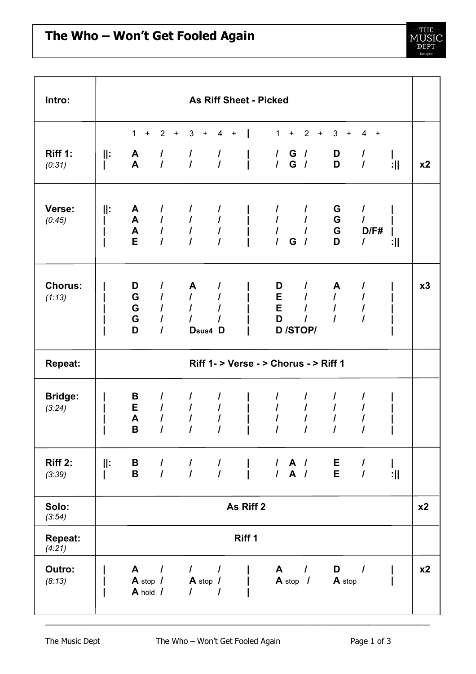

| Intro:                   | As Riff Sheet - Picked                |                                              |                                                         |                                                                                                                                                   |                                              |  |                                                           |                |                                  |           |                                                        |                                          |                     |                |
|--------------------------|---------------------------------------|----------------------------------------------|---------------------------------------------------------|---------------------------------------------------------------------------------------------------------------------------------------------------|----------------------------------------------|--|-----------------------------------------------------------|----------------|----------------------------------|-----------|--------------------------------------------------------|------------------------------------------|---------------------|----------------|
| Riff 1:<br>(0:31)        | Ⅱ:                                    | 1<br>$\pm$<br>$\mathsf{A}$<br>$\mathbf{A}$   | $2^{\circ}$<br>$\pm$<br>$\prime$<br>$\prime$            | 3<br>$\pmb{+}$<br>$\overline{I}$<br>$\overline{I}$                                                                                                | 4<br>$\pm$<br>$\prime$<br>$\overline{I}$     |  | $\mathbf 1$                                               | $\ddot{}$      | $\overline{2}$                   | $\ddot{}$ | 3<br>$\ddot{}$<br>D<br>D                               | 4<br>$\pm$<br>$\prime$<br>$\overline{I}$ | :11                 | x <sub>2</sub> |
| Verse:<br>(0:45)         | ⊪                                     | A<br>$\mathsf{A}$<br>$\blacktriangle$<br>E   | I<br>$\prime$<br>$\overline{I}$<br>$\overline{I}$       | I<br>$\mathcal{L}$<br>$\mathcal{L}$<br>$\overline{I}$                                                                                             | $\prime$<br>$\overline{I}$<br>$\overline{I}$ |  | I<br>$\boldsymbol{l}$<br>$\overline{I}$<br>$\overline{I}$ | G              | $\overline{I}$<br>$\overline{1}$ |           | G<br>G<br>G<br>D                                       | I<br>$\mathcal{L}$<br>D/F#<br>I          | :11                 |                |
| <b>Chorus:</b><br>(1:13) |                                       | D<br>G<br>G<br>G<br>D                        | I<br>$\prime$<br>$\prime$<br>$\prime$<br>$\overline{I}$ | A<br>$\mathcal{L}$<br>$\mathcal{L}$<br>Dsus4 D                                                                                                    | I                                            |  | D<br>D                                                    | $E$ /<br>$E$ / | <b>D</b> /STOP/                  |           | A<br>$\mathcal{L}$<br>$\overline{I}$<br>$\overline{I}$ | I<br>$\overline{I}$<br>I<br>I            |                     | x3             |
| <b>Repeat:</b>           | Riff 1- > Verse - > Chorus - > Riff 1 |                                              |                                                         |                                                                                                                                                   |                                              |  |                                                           |                |                                  |           |                                                        |                                          |                     |                |
| <b>Bridge:</b><br>(3:24) |                                       | В<br>E<br>A<br>B                             | I<br>$\prime$<br>$\prime$<br>$\overline{I}$             | I<br>$\overline{I}$<br>$\prime$                                                                                                                   | $\prime$<br>$\overline{I}$                   |  | $\prime$<br>$\overline{I}$                                |                |                                  |           | I<br>$\prime$<br>$\overline{I}$                        | I                                        |                     |                |
| <b>Riff 2:</b><br>(3:39) | $\parallel$ :                         | B <sub>a</sub><br>$\mathbf B$                |                                                         | $\begin{array}{cccccccccccccc} I & I & I & I & \ & & I & \ & A & I & \ & E & I \\ I & I & I & I & \ & & I & \ & A & I & \ & E & I \\ \end{array}$ |                                              |  |                                                           |                |                                  |           |                                                        |                                          | $\mathbf{I}$<br>:11 |                |
| Solo:<br>(3:54)          | As Riff 2                             |                                              |                                                         |                                                                                                                                                   |                                              |  |                                                           |                |                                  |           |                                                        |                                          |                     | x2             |
| Repeat:<br>(4:21)        | Riff 1                                |                                              |                                                         |                                                                                                                                                   |                                              |  |                                                           |                |                                  |           |                                                        |                                          |                     |                |
| Outro:<br>(8:13)         |                                       | $\mathsf{A}$<br>$A$ stop $I$<br>$A$ hold $I$ | $\prime$                                                | $\frac{1}{2}$<br>$A$ stop $I$<br>$\mathcal{L}$                                                                                                    | $\prime$                                     |  |                                                           | $A$ stop $I$   | $A \quad /$                      |           | $D$ /<br><b>A</b> stop                                 |                                          |                     | x <sub>2</sub> |

\_\_\_\_\_\_\_\_\_\_\_\_\_\_\_\_\_\_\_\_\_\_\_\_\_\_\_\_\_\_\_\_\_\_\_\_\_\_\_\_\_\_\_\_\_\_\_\_\_\_\_\_\_\_\_\_\_\_\_\_\_\_\_\_\_\_\_\_\_\_\_\_\_\_\_\_\_\_\_\_\_\_\_\_\_\_\_\_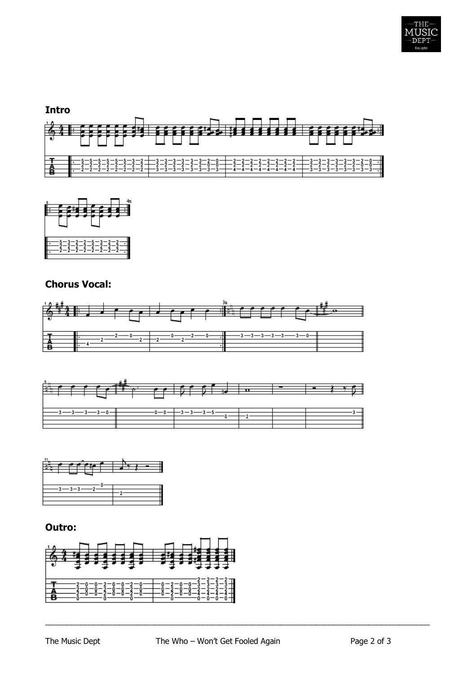



## **Chorus Vocal:**







## **Outro:**



\_\_\_\_\_\_\_\_\_\_\_\_\_\_\_\_\_\_\_\_\_\_\_\_\_\_\_\_\_\_\_\_\_\_\_\_\_\_\_\_\_\_\_\_\_\_\_\_\_\_\_\_\_\_\_\_\_\_\_\_\_\_\_\_\_\_\_\_\_\_\_\_\_\_\_\_\_\_\_\_\_\_\_\_\_\_\_\_